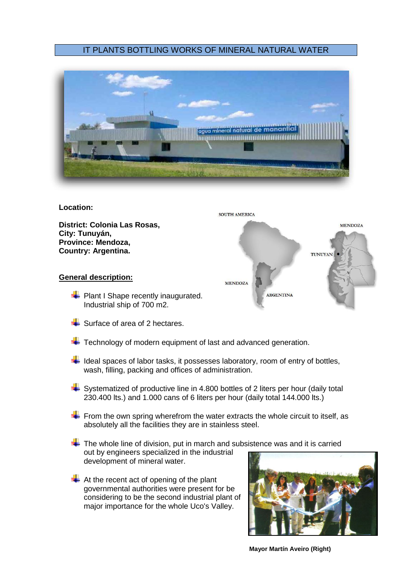## IT PLANTS BOTTLING WORKS OF MINERAL NATURAL WATER





- $\div$  Surface of area of 2 hectares.
- Full Technology of modern equipment of last and advanced generation.
- $\overline{\phantom{a}}$  Ideal spaces of labor tasks, it possesses laboratory, room of entry of bottles, wash, filling, packing and offices of administration.
- Systematized of productive line in 4.800 bottles of 2 liters per hour (daily total 230.400 lts.) and 1.000 cans of 6 liters per hour (daily total 144.000 lts.)
- $\blacktriangleright$  From the own spring wherefrom the water extracts the whole circuit to itself, as absolutely all the facilities they are in stainless steel.
- $\overline{\phantom{a}}$  The whole line of division, put in march and subsistence was and it is carried out by engineers specialized in the industrial development of mineral water.
- $\overline{\phantom{a}}$  At the recent act of opening of the plant governmental authorities were present for be considering to be the second industrial plant of major importance for the whole Uco's Valley.



 **Mayor Martín Aveiro (Right)**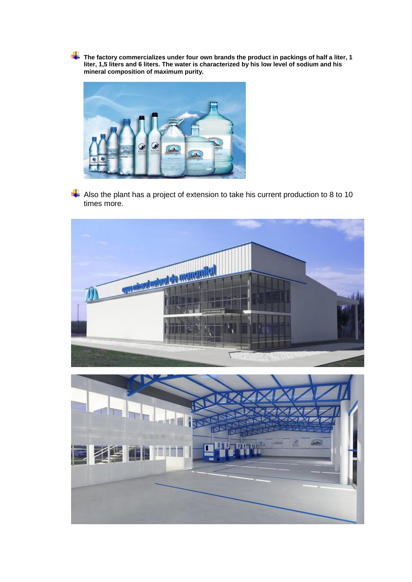**The factory commercializes under four own brands the product in packings of half a liter, 1 liter, 1,5 liters and 6 liters. The water is characterized by his low level of sodium and his mineral composition of maximum purity.**



 $\blacktriangleleft$  Also the plant has a project of extension to take his current production to 8 to 10 times more.

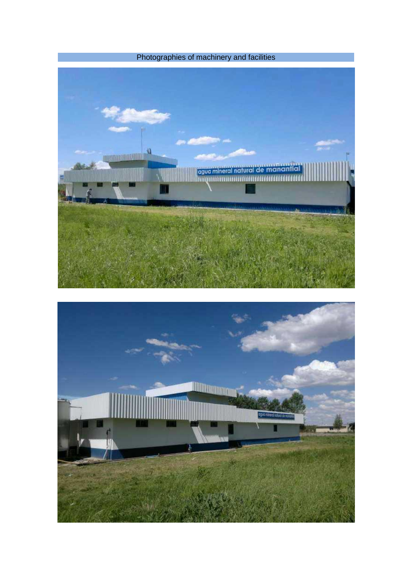

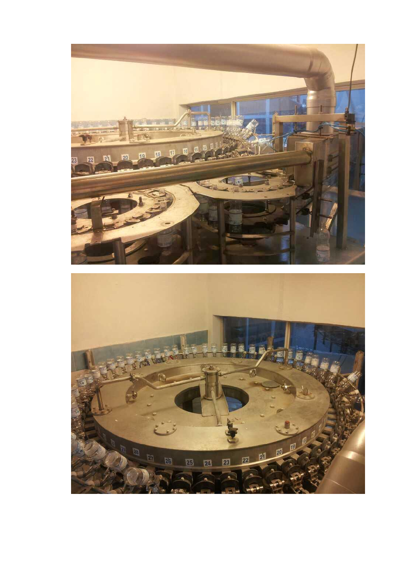

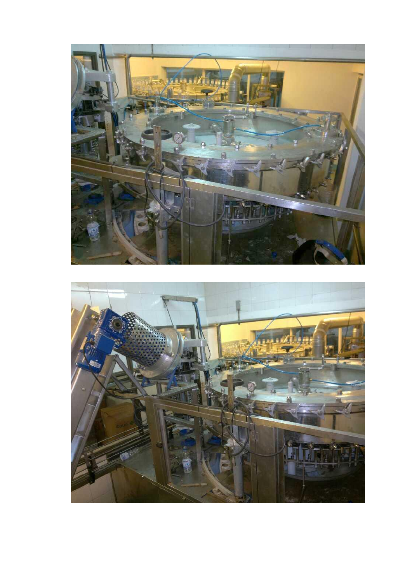

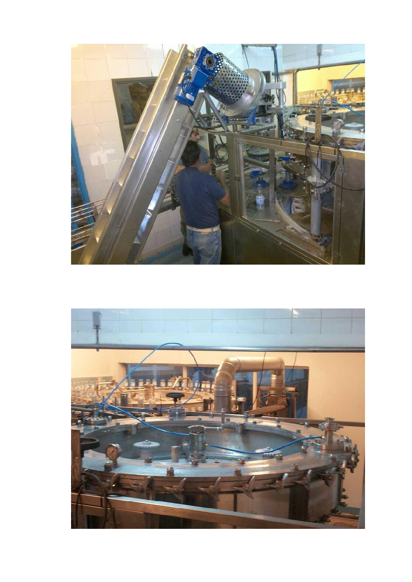

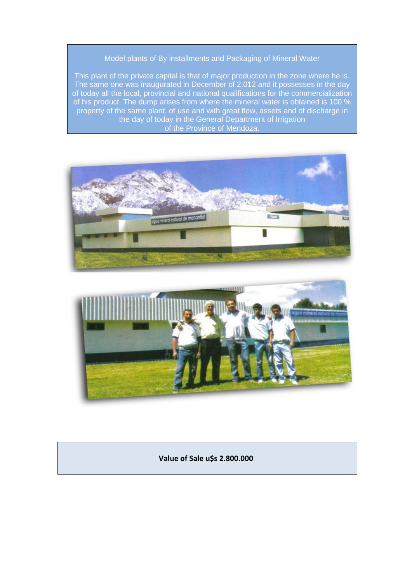## Model plants of By installments and Packaging of Mineral Water

This plant of the private capital is that of major production in the zone where he is. The same one was inaugurated in December of 2.012 and it possesses in the day of today all the local, provincial and national qualifications for the commercialization of his product. The dump arises from where the mineral water is obtained is 100 % property of the same plant, of use and with great flow, assets and of discharge in the day of today in the General Department of Irrigation of the Province of Mendoza.





**Value of Sale u\$s 2.800.000**